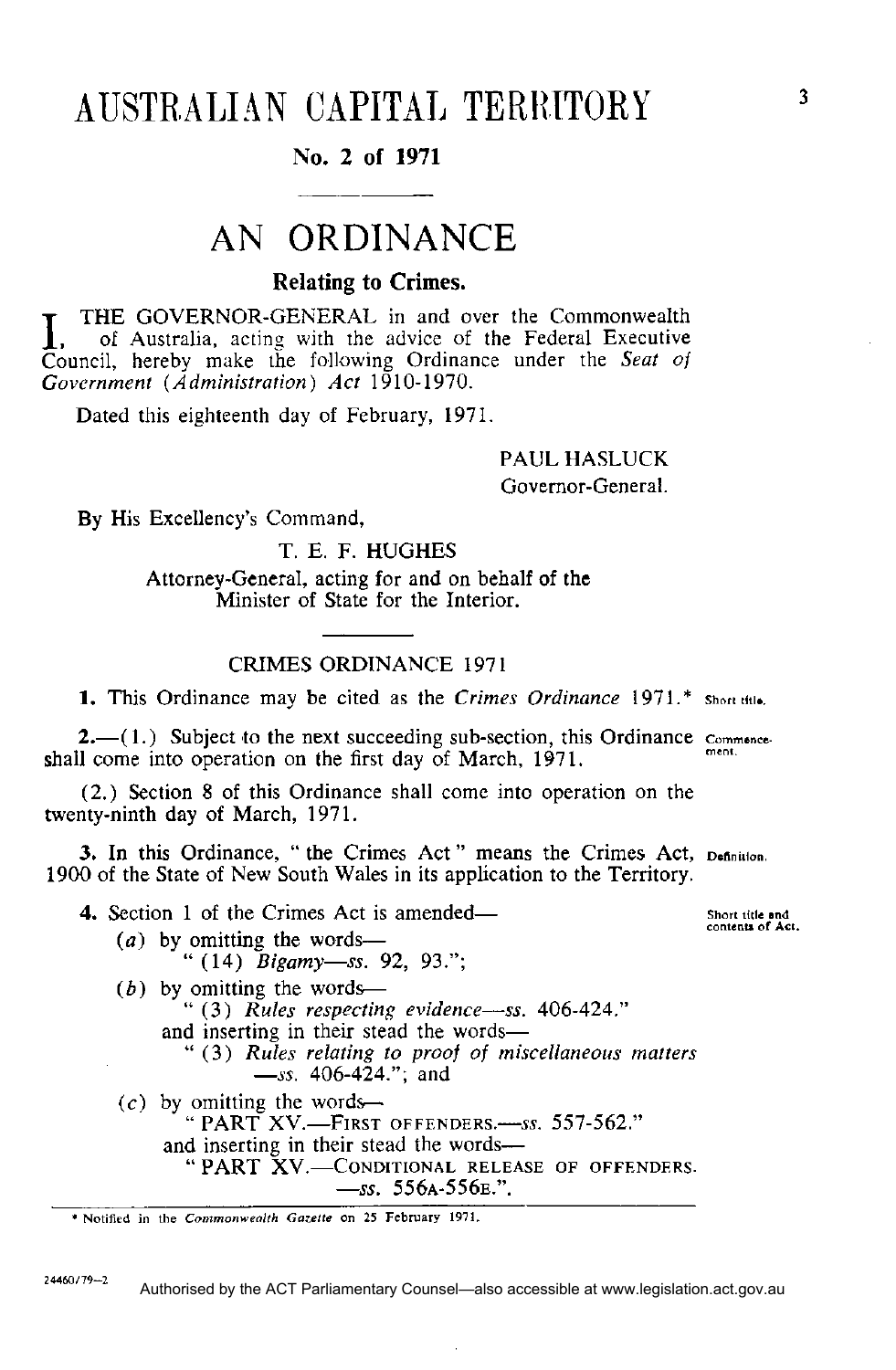# AUSTRALIAN CAPITAL TERRITORY

## **N o . 2 of 1971**

# AN ORDINANCE

### **Relating to Crimes.**

**IFRE GOVERNOR-GENERAL** in and over the Commonwealth<br> **I**, of Australia, acting with the advice of the Federal Executive<br>
Council, hereby make the following Ordinance under the *Seat of* THE GOVERNOR-GENERAL in and over the Commonwealth , of Australia, acting with the advice of the Federal Executive *Government (Administration) Act* 1910-1970.

Dated this eighteenth day of February, 1971.

## PAUL HASLUCK Governor-General.

By His Excellency's Command,

T. E. F. HUGHES

Attorney-General, acting for and on behalf of the Minister of State for the Interior.

#### CRIMES ORDINANCE 1971

**1.** This Ordinance may be cited as the *Crimes Ordinance* 1971.\*

**2.**—(1.) Subject to the next succeeding sub-section, this Ordinance commence shall come into operation on the first day of March, 1971.

(2.) Section 8 of this Ordinance shall come into operation on the twenty-ninth day of March, 1971.

**3.** In this Ordinance, " the Crimes Act " means the Crimes Act, pennition. 1900 of the State of New South Wales in its application to the Territory.

**4.** Section 1 of the Crimes Act is amended— *(a)* by omitting the words— " (14) *Bigamy—ss.* 92, 93."; *(b)* by omitting the words— " (3) *Rules respecting evidence—ss.* 406-424." and inserting in their stead the words— " (3) *Rules relating to proof of miscellaneous matters —ss.* 406-424."; and  $(c)$  by omitting the words— " PART XV.—FIRST OFFENDERS.—*ss.* 557-562." and inserting in their stead the words— " PART XV.—CONDITIONAL RELEASE OF OFFENDERS. *—ss.* 556A-556E.".

**24460/79-2**  Authorised by the ACT Parliamentary Counsel—also accessible at www.legislation.act.gov.au

Short title and<br>contents of Act.

**<sup>\*</sup> Notified in the** *Commonwealth Gazelle* **on 25 February 1971.**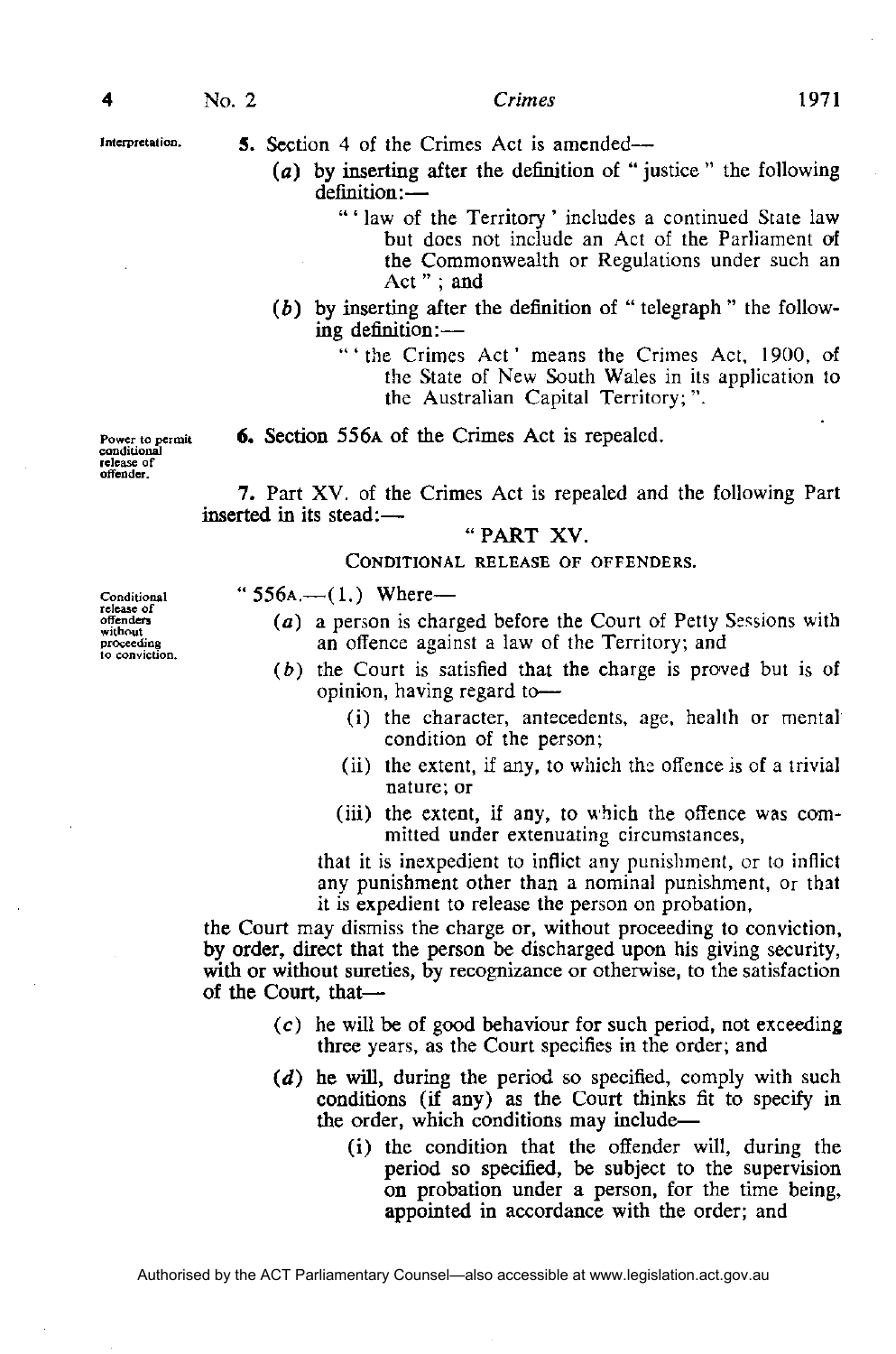Interpretation.

**5 .** Section 4 of the Crimes Act is amended—

- *(a)* by inserting after the definition of " justice " the following definition:—
	- " ' law of the Territory' includes a continued State law but does not include an Act of the Parliament of the Commonwealth or Regulations under such an Act " ; and
- (6) by inserting after the definition of " telegraph " the following definition:—

"'the Crimes Act' means the Crimes Act, 1900, of the State of New South Wales in its application to the Australian Capital Territory;".

Power to nermit conditional release of offender.

**6 .** Section 556**A** of the Crimes Act is repealed.

7. Part XV. of the Crimes Act is repealed and the following Part inserted in its stead:—

#### "PART XV.

**CONDITIONAL RELEASE OF OFFENDERS.** 

Conditional release of<br>offenders without proceeding to conviction.

- " 556**A.—**(1.) Where  $(a)$  a person is charged before the Court of Petty Sessions with
	- an offence against a law of the Territory; and
	- *(b)* the Court is satisfied that the charge is proved but is of opinion, having regard to—
		- (i) the character, antecedents, age, health or mental condition of the person;
		- (ii) the extent, if any, to which the offence is of a trivial nature; or
		- (iii) the extent, if any, to which the offence was committed under extenuating circumstances,

that it is inexpedient to inflict any punishment, or to inflict any punishment other than a nominal punishment, or that it is expedient to release the person on probation,

the Court may dismiss the charge or, without proceeding to conviction, by order, direct that the person be discharged upon his giving security, with or without sureties, by recognizance or otherwise, to the satisfaction of the Court, that—

- $(c)$  he will be of good behaviour for such period, not exceeding three years, as the Court specifies in the order; and
- *(d)* he will, during the period so specified, comply with such conditions (if any) as the Court thinks fit to specify in the order, which conditions may include—
	- (i) the condition that the offender will, during the period so specified, be subject to the supervision on probation under a person, for the time being, appointed in accordance with the order; and

Authorised by the ACT Parliamentary Counsel—also accessible at www.legislation.act.gov.au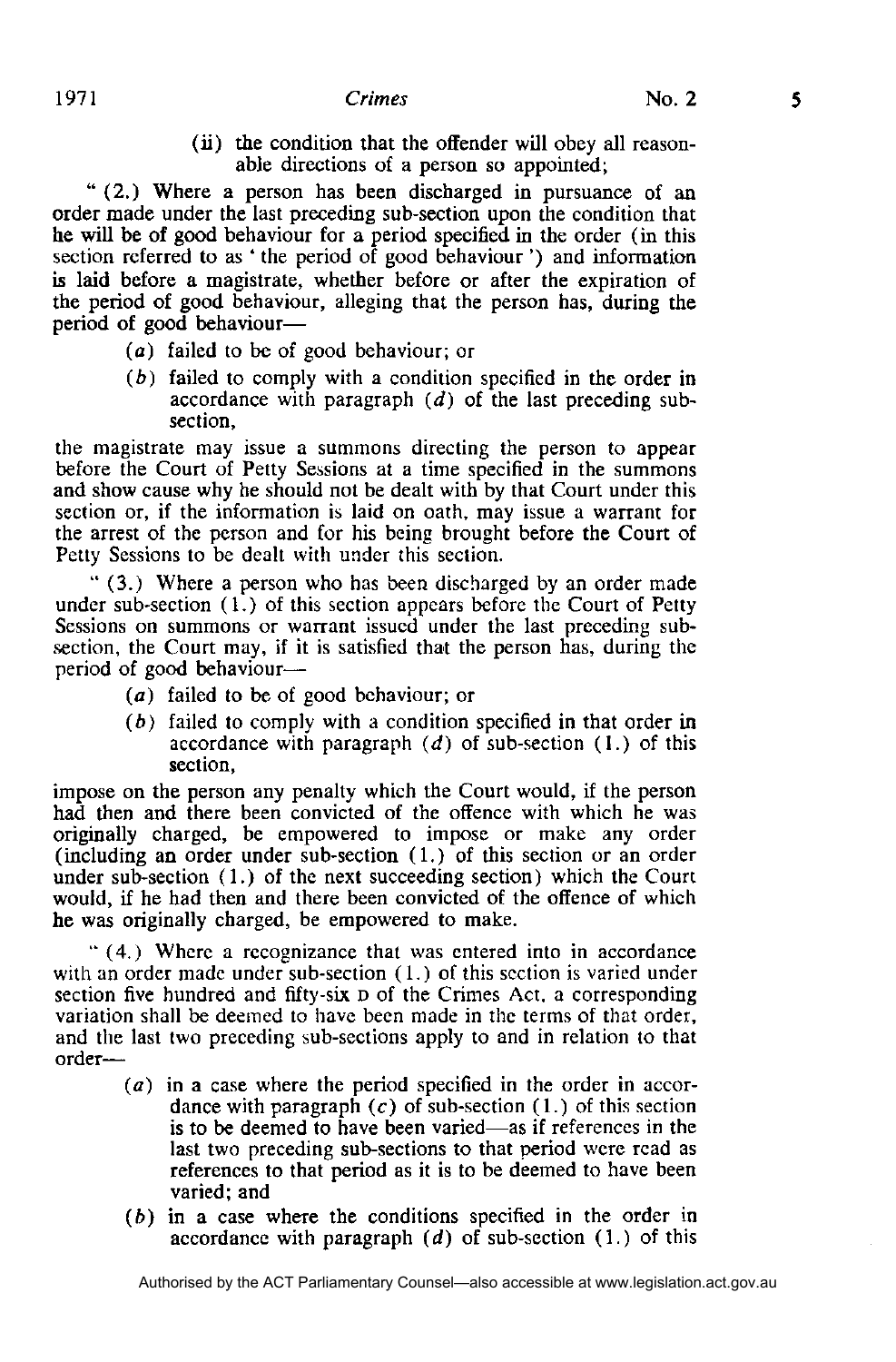(ii) the condition that the offender will obey all reasonable directions of a person so appointed;

" (2.) Where a person has been discharged in pursuance of an order made under the last preceding sub-section upon the condition that he will be of good behaviour for a period specified in the order (in this section referred to as ' the period of good behaviour') and information is laid before a magistrate, whether before or after the expiration of the period of good behaviour, alleging that the person has, during the period of good behaviour—

- (a) failed to be of good behaviour; or
- *(b)* failed to comply with a condition specified in the order in accordance with paragraph *(d)* of the last preceding subsection,

the magistrate may issue a summons directing the person to appear before the Court of Petty Sessions at a time specified in the summons and show cause why he should not be dealt with by that Court under this section or, if the information is laid on oath, may issue a warrant for the arrest of the person and for his being brought before the Court of Petty Sessions to be dealt with under this section.

" (3.) Where a person who has been discharged by an order made under sub-section (1.) of this section appears before the Court of Petty Sessions on summons or warrant issued under the last preceding subsection, the Court may, if it is satisfied that the person has, during the period of good behaviour—

- *(a)* failed to be of good behaviour; or
- *(b)* failed to comply with a condition specified in that order in accordance with paragraph *(d)* of sub-section (1.) of this section,

impose on the person any penalty which the Court would, if the person had then and there been convicted of the offence with which he was originally charged, be empowered to impose or make any order (including an order under sub-section (1.) of this section or an order under sub-section (1.) of the next succeeding section) which the Court would, if he had then and there been convicted of the offence of which he was originally charged, be empowered to make.

" (4.) Where a recognizance that was entered into in accordance with an order made under sub-section (1.) of this section is varied under section five hundred and fifty-six **D** of the Crimes Act, a corresponding variation shall be deemed to have been made in the terms of that order, and the last two preceding sub-sections apply to and in relation to that order—

- *(a)* in a case where the period specified in the order in accordance with paragraph *(c)* of sub-section (1.) of this section is to be deemed to have been varied—as if references in the last two preceding sub-sections to that period were read as references to that period as it is to be deemed to have been varied; and
- *(b)* in a case where the conditions specified in the order in accordance with paragraph *(d)* of sub-section (1.) of this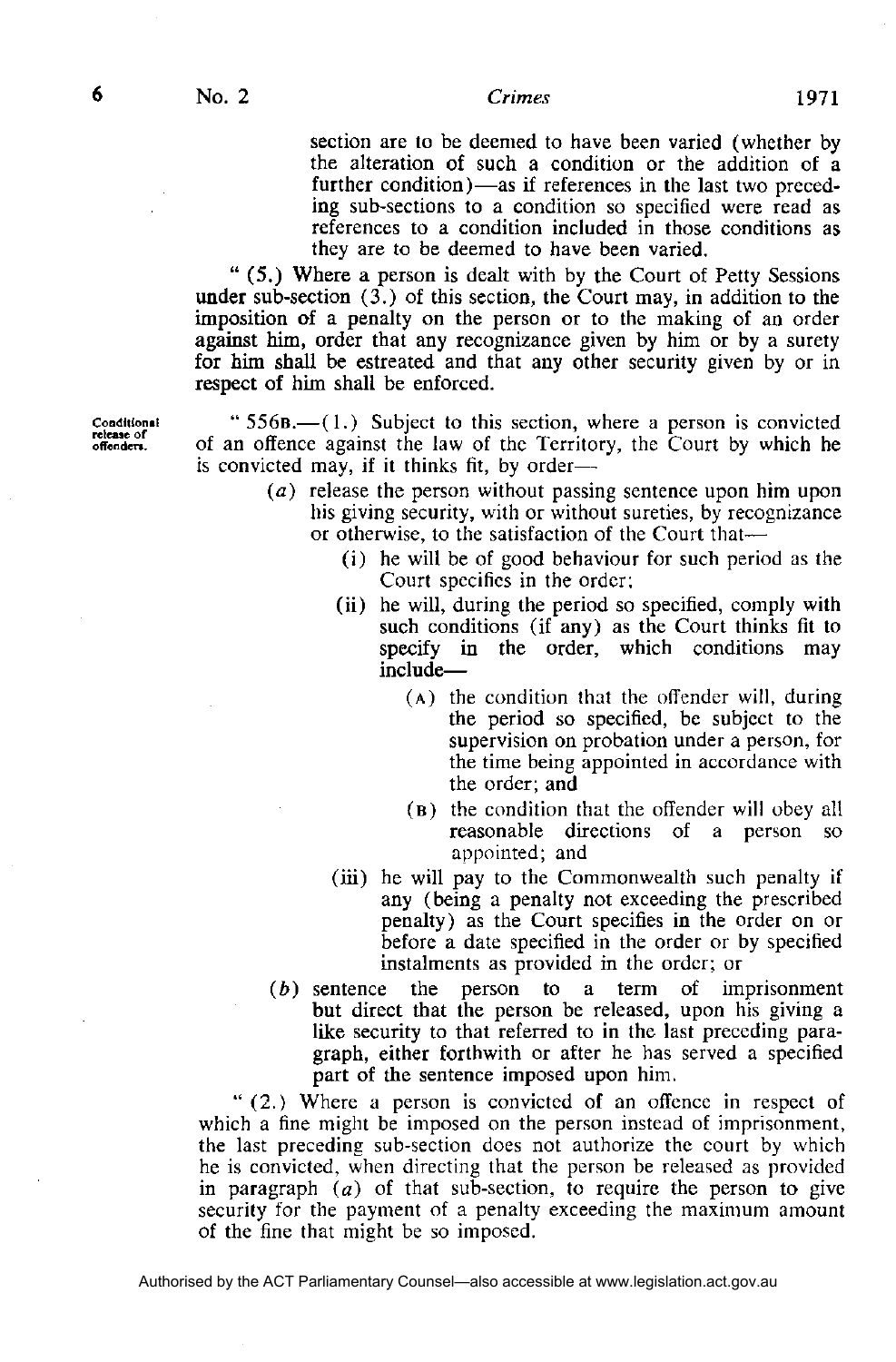section are to be deemed to have been varied (whether by the alteration of such a condition or the addition of a further condition)—as if references in the last two preceding sub-sections to a condition so specified were read as references to a condition included in those conditions as they are to be deemed to have been varied.

" (5.) Where a person is dealt with by the Court of Petty Sessions under sub-section  $(3)$  of this section, the Court may, in addition to the imposition of a penalty on the person or to the making of an order against him, order that any recognizance given by him or by a surety for him shall be estreated and that any other security given by or in respect of him shall be enforced.

" 556**B.—**(1.) Subject to this section, where a person is convicted of an offence against the law of the Territory, the Court by which he is convicted may, if it thinks fit, by order—

- (a) release the person without passing sentence upon him upon his giving security, with or without sureties, by recognizance or otherwise, to the satisfaction of the Court that—
	- (i) he will be of good behaviour for such period as the Court specifies in the order;
	- (ii) he will, during the period so specified, comply with such conditions (if any) as the Court thinks fit to specify in the order, which conditions may include—
		- **( A )** the condition that the offender will, during the period so specified, be subject to the supervision on probation under a person, for the time being appointed in accordance with the order; and
		- **( B )** the condition that the offender will obey all reasonable directions of a person so appointed; and
	- (iii) he will pay to the Commonwealth such penalty if any (being a penalty not exceeding the prescribed penalty) as the Court specifies in the order on or before a date specified in the order or by specified instalments as provided in the order; or
- *(b)* sentence the person to a term of imprisonment but direct that the person be released, upon his giving a like security to that referred to in the last preceding paragraph, either forthwith or after he has served a specified part of the sentence imposed upon him.

" (2.) Where a person is convicted of an offence in respect of which a fine might be imposed on the person instead of imprisonment, the last preceding sub-section does not authorize the court by which he is convicted, when directing that the person be released as provided in paragraph *(a)* of that sub-section, to require the person to give security for the payment of a penalty exceeding the maximum amount of the fine that might be so imposed.

Conditional release of<br>offenders.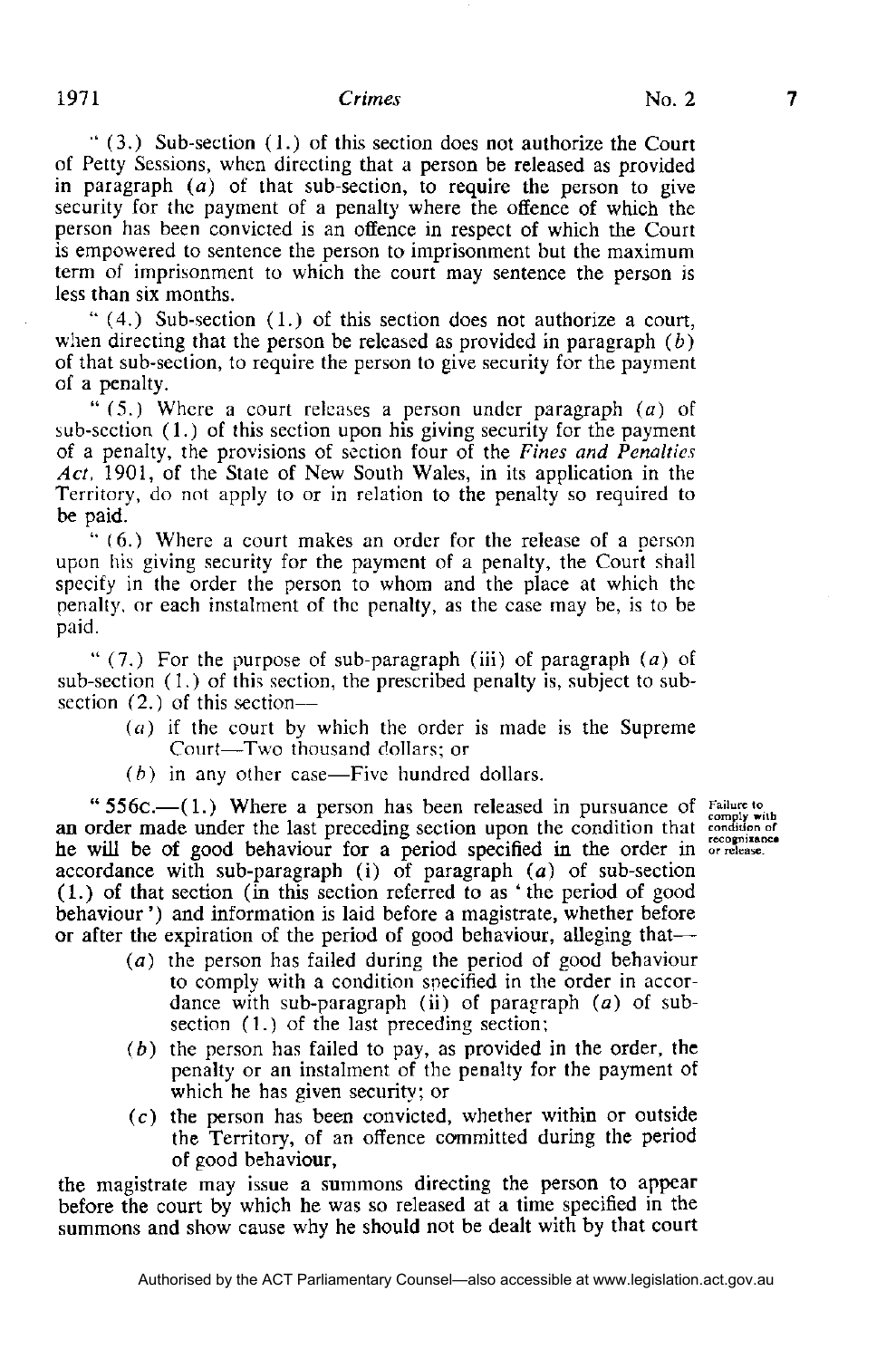$(3)$ . Sub-section  $(1)$  of this section does not authorize the Court of Petty Sessions, when directing that a person be released as provided in paragraph *(a)* of that sub-section, to require the person to give security for the payment of a penalty where the offence of which the person has been convicted is an offence in respect of which the Court is empowered to sentence the person to imprisonment but the maximum term of imprisonment to which the court may sentence the person is less than six months.

" (4.) Sub-section (1.) of this section does not authorize a court, when directing that the person be released as provided in paragraph  $(b)$ of that sub-section, to require the person to give security for the payment of a penalty.

" (5.) Where a court releases a person under paragraph *(a)* of sub-section (1.) of this section upon his giving security for the payment of a penalty, the provisions of section four of the *Fines and Penalties Act,* 1901, of the State of New South Wales, in its application in the Territory, do not apply to or in relation to the penalty so required to be paid.

" (6.) Where a court makes an order for the release of a person upon his giving security for the payment of a penalty, the Court shall specify in the order the person to whom and the place at which the penalty, or each instalment of the penalty, as the case may be, is to be paid.

" (7.) For the purpose of sub-paragraph (iii) of paragraph *(a)* of sub-section (1.) of this section, the prescribed penalty is, subject to subsection (2.) of this section—

- *(a)* if the court by which the order is made is the Supreme Court—Two thousand dollars; or
- *(b)* in any other case—Five hundred dollars.

"556c.—(1.) Where a person has been released in pursuance of an order made under the last preceding section upon the condition that he will be of good behaviour for a period specified in the order in or release. accordance with sub-paragraph (i) of paragraph *(a)* of sub-section (1.) of that section (in this section referred to as ' the period of good behaviour ') and information is laid before a magistrate, whether before or after the expiration of the period of good behaviour, alleging that—

- *(a)* the person has failed during the period of good behaviour to comply with a condition specified in the order in accordance with sub-paragraph (ii) of paragraph  $(a)$  of subsection (1.) of the last preceding section;
- *(b)* the person has failed to pay, as provided in the order, the penalty or an instalment of the penalty for the payment of which he has given security; or
- (c) the person has been convicted, whether within or outside the Territory, of an offence committed during the period of good behaviour,

the magistrate may issue a summons directing the person to appear before the court by which he was so released at a time specified in the summons and show cause why he should not be dealt with by that court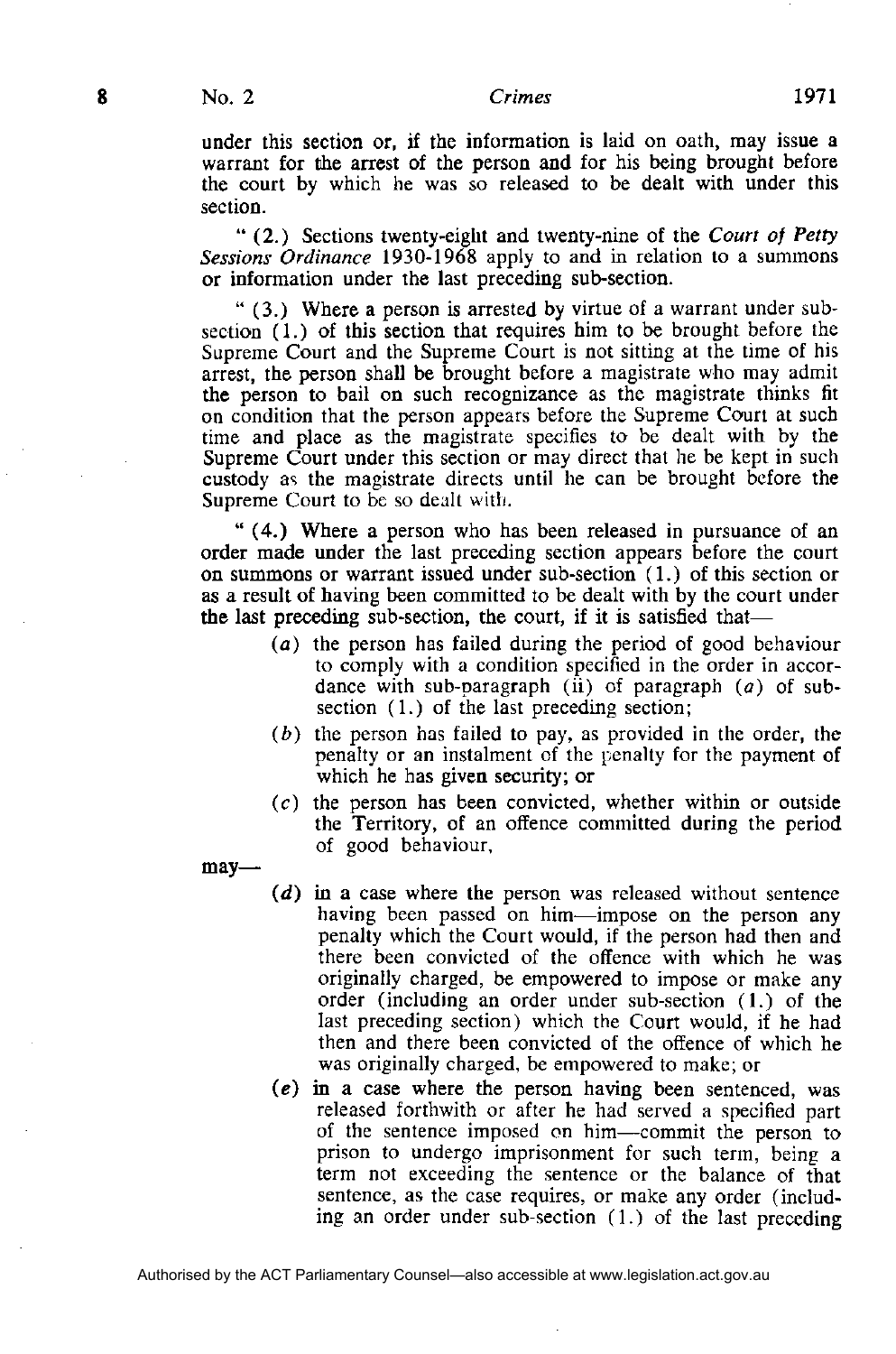#### **Crimes**

under this section or, if the information is laid on oath, may issue a warrant for the arrest of the person and for his being brought before the court by which he was so released to be dealt with under this section.

" (2.) Sections twenty-eight and twenty-nine of the *Court of Petty Sessions Ordinance* 1930-1968 apply to and in relation to a summons or information under the last preceding sub-section.

" (3.) Where a person is arrested by virtue of a warrant under subsection (1.) of this section that requires him to be brought before the Supreme Court and the Supreme Court is not sitting at the time of his arrest, the person shall be brought before a magistrate who may admit the person to bail on such recognizance as the magistrate thinks fit on condition that the person appears before the Supreme Court at such time and place as the magistrate specifies to be dealt with by the Supreme Court under this section or may direct that he be kept in such custody as the magistrate directs until he can be brought before the Supreme Court to be so dealt with.

" (4.) Where a person who has been released in pursuance of an order made under the last preceding section appears before the court on summons or warrant issued under sub-section (1.) of this section or as a result of having been committed to be dealt with by the court under the last preceding sub-section, the court, if it is satisfied that—

- (a) the person has failed during the period of good behaviour to comply with a condition specified in the order in accordance with sub-paragraph (ii) of paragraph  $(a)$  of subsection (1.) of the last preceding section;
- *(b)* the person has failed to pay, as provided in the order, the penalty or an instalment of the penalty for the payment of which he has given security; or
- $(c)$  the person has been convicted, whether within or outside the Territory, of an offence committed during the period of good behaviour,

may—

- *(d)* in a case where the person was released without sentence having been passed on him—impose on the person any penalty which the Court would, if the person had then and there been convicted of the offence with which he was originally charged, be empowered to impose or make any order (including an order under sub-section (1.) of the last preceding section) which the Court would, if he had then and there been convicted of the offence of which he was originally charged, be empowered to make; or
- (e) in a case where the person having been sentenced, was released forthwith or after he had served a specified part of the sentence imposed on him—commit the person to prison to undergo imprisonment for such term, being a term not exceeding the sentence or the balance of that sentence, as the case requires, or make any order (including an order under sub-section (1.) of the last preceding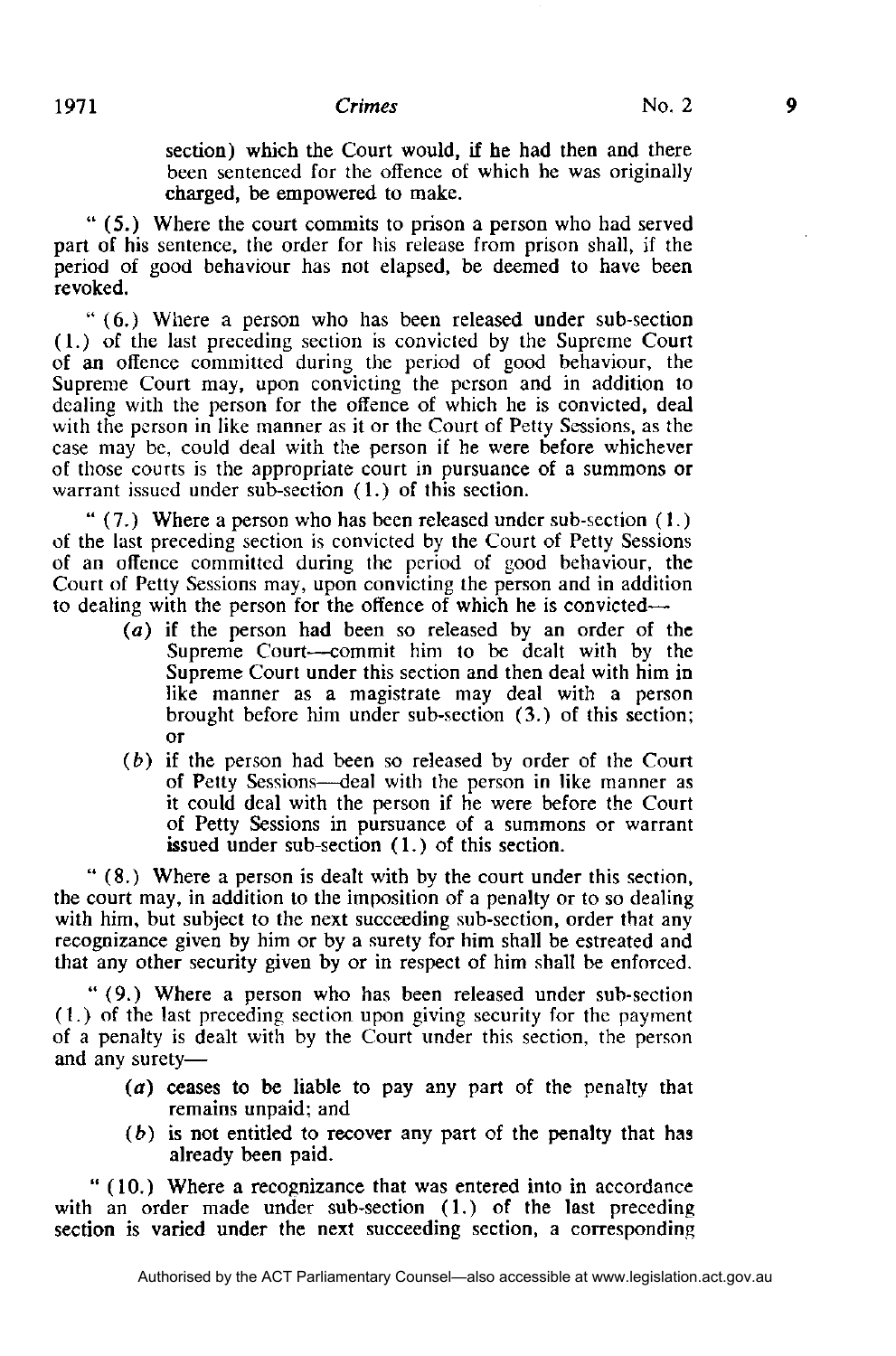section) which the Court would, if he had then and there been sentenced for the offence of which he was originally charged, be empowered to make.

" (5.) Where the court commits to prison a person who had served part of his sentence, the order for his release from prison shall, if the period of good behaviour has not elapsed, be deemed to have been revoked.

" (6.) Where a person who has been released under sub-section (1.) of the last preceding section is convicted by the Supreme Court of an offence committed during the period of good behaviour, the Supreme Court may, upon convicting the person and in addition to dealing with the person for the offence of which he is convicted, deal with the person in like manner as it or the Court of Petty Sessions, as the case may be, could deal with the person if he were before whichever of those courts is the appropriate court in pursuance of a summons or warrant issued under sub-section (1.) of this section.

" (7.) Where a person who has been released under sub-section (1.) of the last preceding section is convicted by the Court of Petty Sessions of an offence committed during the period of good behaviour, the Court of Petty Sessions may, upon convicting the person and in addition to dealing with the person for the offence of which he is convicted—

- *(a)* if the person had been so released by an order of the Supreme Court—commit him to be dealt with by the Supreme Court under this section and then deal with him in like manner as a magistrate may deal with a person brought before him under sub-section (3.) of this section; or
- *(b)* if the person had been so released by order of the Court of Petty Sessions—deal with the person in like manner as it could deal with the person if he were before the Court of Petty Sessions in pursuance of a summons or warrant issued under sub-section (1.) of this section.

" (8.) Where a person is dealt with by the court under this section, the court may, in addition to the imposition of a penalty or to so dealing with him, but subject to the next succeeding sub-section, order that any recognizance given by him or by a surety for him shall be estreated and that any other security given by or in respect of him shall be enforced.

" (9.) Where a person who has been released under sub-section (1.) of the last preceding section upon giving security for the payment of a penalty is dealt with by the Court under this section, the person and any surety—

- *(a)* ceases to be liable to pay any part of the penalty that remains unpaid; and
- *(b)* is not entitled to recover any part of the penalty that has already been paid.

" (10.) Where a recognizance that was entered into in accordance with an order made under sub-section (1.) of the last preceding section is varied under the next succeeding section, a corresponding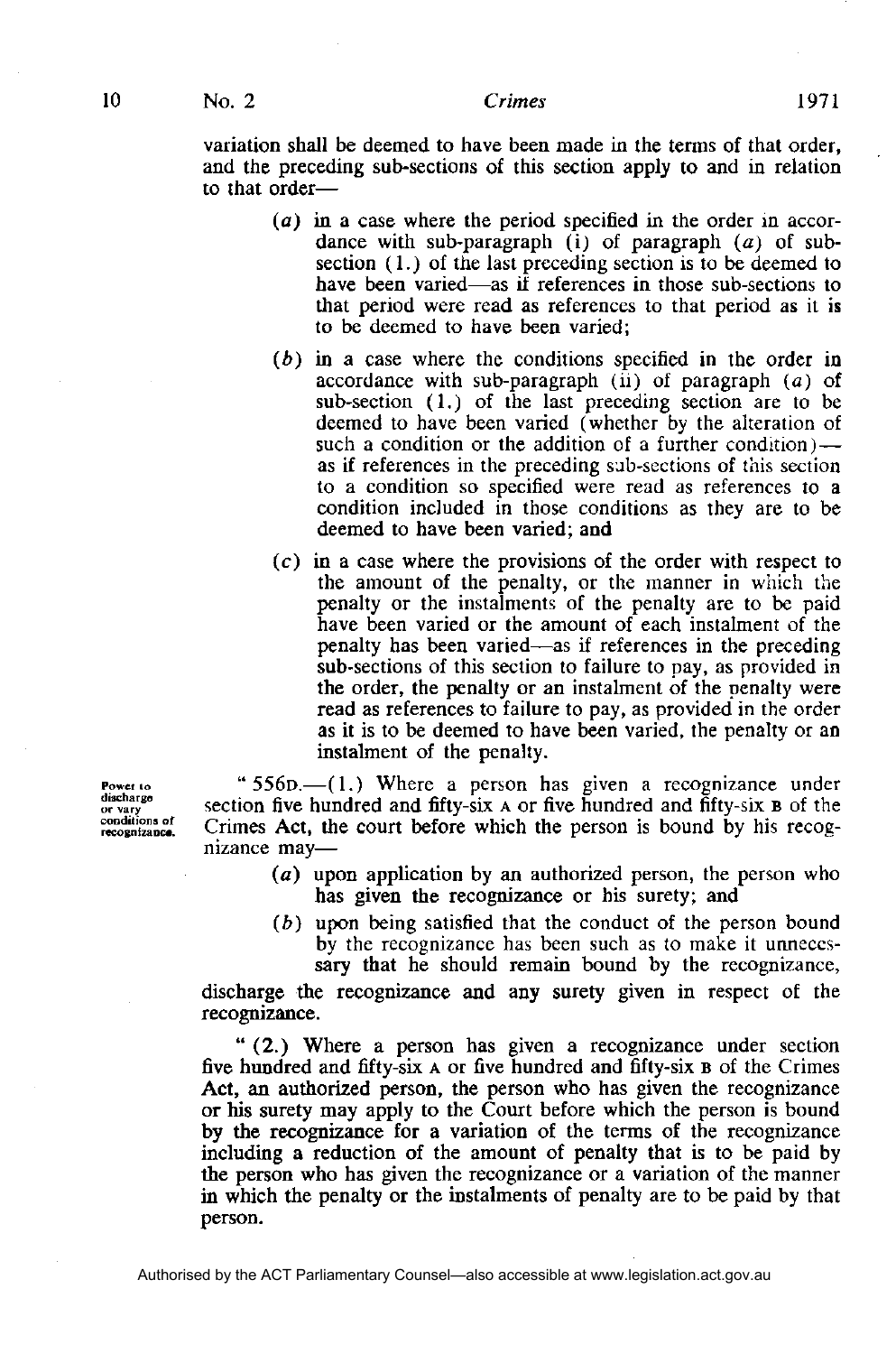10

#### **Crimes**

variation shall be deemed to have been made in the terms of that order, and the preceding sub-sections of this section apply to and in relation to that order—

- (a) in a case where the period specified in the order in accordance with sub-paragraph (i) of paragraph  $(a)$  of subsection (1.) of the last preceding section is to be deemed to have been varied—as if references in those sub-sections to that period were read as references to that period as it is to be deemed to have been varied;
- *(b)* in a case where the conditions specified in the order in accordance with sub-paragraph  $(ii)$  of paragraph  $(a)$  of sub-section (1.) of the last preceding section are to be deemed to have been varied (whether by the alteration of such a condition or the addition of a further condition) as if references in the preceding sub-sections of this section to a condition so specified were read as references to a condition included in those conditions as they are to be deemed to have been varied; and
- (c) in a case where the provisions of the order with respect to the amount of the penalty, or the manner in which the penalty or the instalments of the penalty are to be paid have been varied or the amount of each instalment of the penalty has been varied—as if references in the preceding sub-sections of this section to failure to pay, as provided in the order, the penalty or an instalment of the penalty were read as references to failure to pay, as provided in the order as it is to be deemed to have been varied, the penalty or an instalment of the penalty.

" 556**D.—**(1.) Where a person has given a recognizance under section five hundred and fifty-six **A** or five hundred and fifty-six **B** of the Crimes Act, the court before which the person is bound by his recognizance may—

- ( $a$ ) upon application by an authorized person, the person who has given the recognizance or his surety; and
- *(b)* upon being satisfied that the conduct of the person bound by the recognizance has been such as to make it unnecessary that he should remain bound by the recognizance,

discharge the recognizance and any surety given in respect of the recognizance.

" (2.) Where a person has given a recognizance under section five hundred and fifty-six **A** or five hundred and fifty-six **B** of the Crimes Act, an authorized person, the person who has given the recognizance or his surety may apply to the Court before which the person is bound by the recognizance for a variation of the terms of the recognizance including a reduction of the amount of penalty that is to be paid by the person who has given the recognizance or a variation of the manner in which the penalty or the instalments of penalty are to be paid by that person.

Power to discharge or vary<br>conditions of recognizance.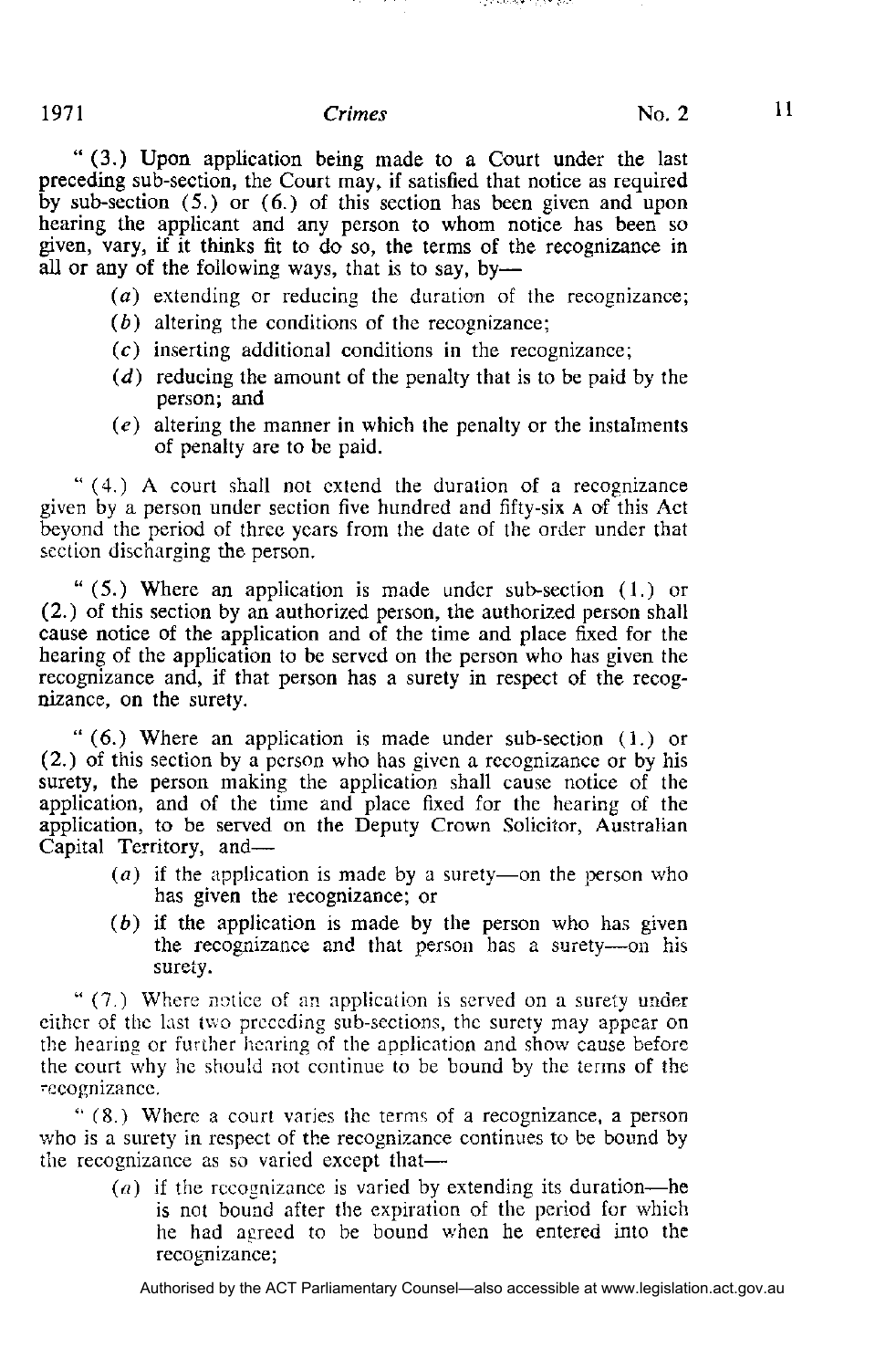rga shukar ng an piso

" (3.) Upon application being made to a Court under the last preceding sub-section, the Court may, if satisfied that notice as required by sub-section (5.) or (6.) of this section has been given and upon hearing the applicant and any person to whom notice has been so given, vary, if it thinks fit to do so, the terms of the recognizance in all or any of the following ways, that is to say, by—

*(a)* extending or reducing the duration of the recognizance;

- *(b)* altering the conditions of the recognizance;
- $(c)$  inserting additional conditions in the recognizance;
- *(d)* reducing the amount of the penalty that is to be paid by the person; and
- *(e)* altering the manner in which the penalty or the instalments of penalty are to be paid.

" (4.) A court shall not extend the duration of a recognizance given by a person under section five hundred and fifty-six **A** of this Act beyond the period of three years from the date of the order under that section discharging the person.

" (5.) Where an application is made under sub-section (1.) or (2.) of this section by an authorized person, the authorized person shall cause notice of the application and of the time and place fixed for the hearing of the application to be served on the person who has given the recognizance and, if that person has a surety in respect of the recognizance, on the surety.

" (6.) Where an application is made under sub-section (1.) or (2.) of this section by a person who has given a recognizance or by his surety, the person making the application shall cause notice of the application, and of the time and place fixed for the hearing of the application, to be served on the Deputy Crown Solicitor, Australian Capital Territory, and—

- *(a)* if the application is made by a surety—on the person who has given the recognizance; or
- $(b)$  if the application is made by the person who has given the recognizance and that person has a surety—on his surety.

" (7.) Where notice of an application is served on a surety under either of the last two preceding sub-sections, the surety may appear on the hearing or further hearing of the application and show cause before the court why he should not continue to be bound by the terms of the recognizance.

" (8.) Where a court varies the terms of a recognizance, a person who is a surety in respect of the recognizance continues to be bound by the recognizance as so varied except that—

> *(a)* if the recognizance is varied by extending its duration—he is not bound after the expiration of the period for which he had agreed to be bound when he entered into the recognizance;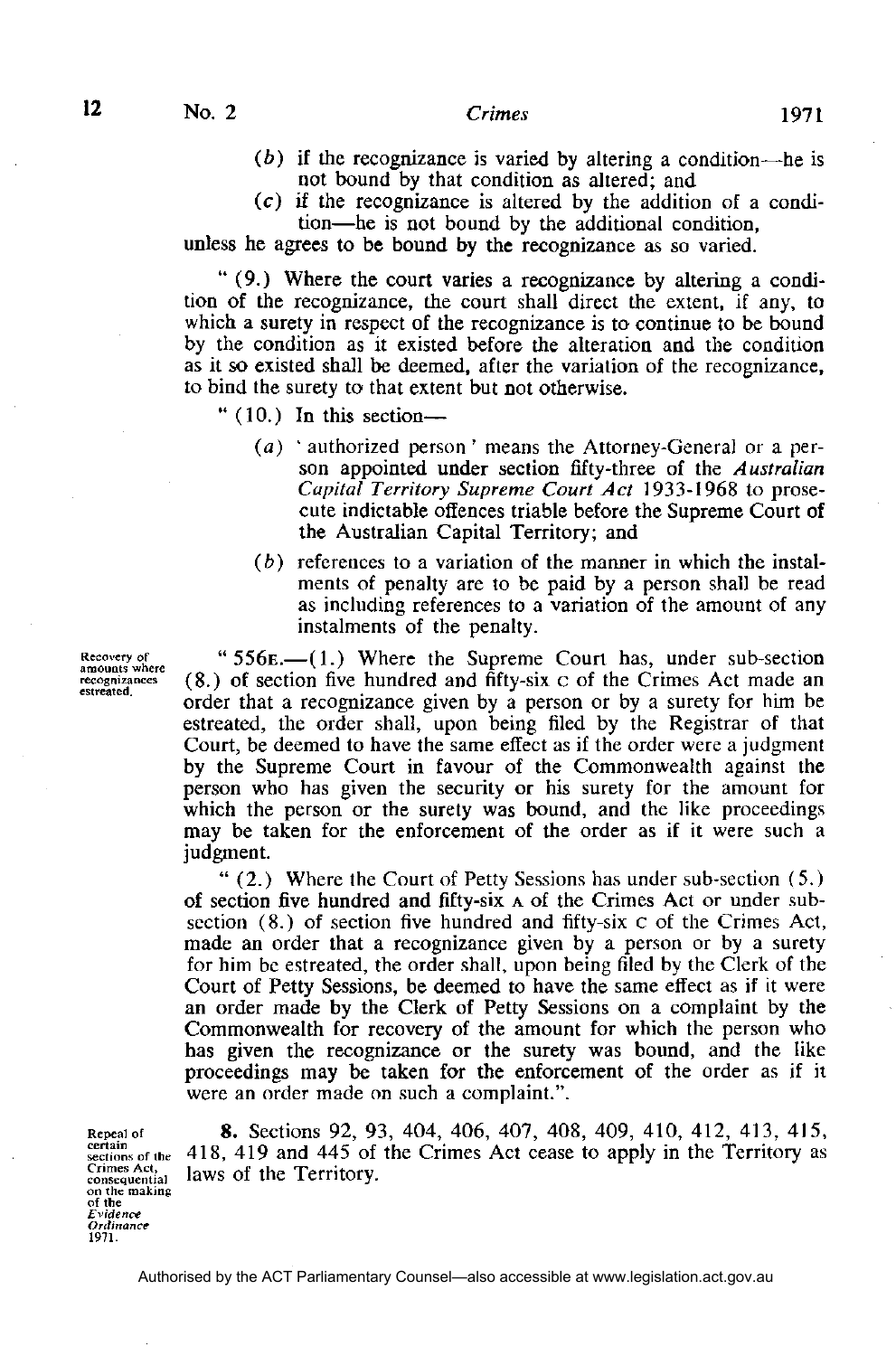$12$ 

- *(b)* if the recognizance is varied by altering a condition—he is not bound by that condition as altered; and
- $(c)$  if the recognizance is altered by the addition of a condition—he is not bound by the additional condition,

unless he agrees to be bound by the recognizance as so varied.

" (9.) Where the court varies a recognizance by altering a condition of the recognizance, the court shall direct the extent, if any, to which a surety in respect of the recognizance is to continue to be bound by the condition as it existed before the alteration and the condition as it so existed shall be deemed, after the variation of the recognizance, to bind the surety to that extent but not otherwise.

- $" (10.)$  In this section—
	- *(a)* ' authorized person' means the Attorney-General or a person appointed under section fifty-three of the *Australian Capital Territory Supreme Court Act* 1933-1968 to prosecute indictable offences triable before the Supreme Court of the Australian Capital Territory; and
	- *(b)* references to a variation of the manner in which the instalments of penalty are to be paid by a person shall be read as including references to a variation of the amount of any instalments of the penalty.

" 556**E**.—(1.) Where the Supreme Court has, under sub-section (8.) of section five hundred and fifty-six c of the Crimes Act made an order that a recognizance given by a person or by a surety for him be estreated, the order shall, upon being filed by the Registrar of that Court, be deemed to have the same effect as if the order were a judgment by the Supreme Court in favour of the Commonwealth against the person who has given the security or his surety for the amount for which the person or the surety was bound, and the like proceedings may be taken for the enforcement of the order as if it were such a judgment.

" (2.) Where the Court of Petty Sessions has under sub-section (5.) of section five hundred and fifty-six **A** of the Crimes Act or under subsection (8.) of section five hundred and fifty-six c of the Crimes Act, made an order that a recognizance given by a person or by a surety for him be estreated, the order shall, upon being filed by the Clerk of the Court of Petty Sessions, be deemed to have the same effect as if it were an order made by the Clerk of Petty Sessions on a complaint by the Commonwealth for recovery of the amount for which the person who has given the recognizance or the surety was bound, and the like proceedings may be taken for the enforcement of the order as if it were an order made on such a complaint.".

**8 .** Sections 92, 93, 404, 406, 407, 408, 409, 410, 412, 413, 415, 418, 419 and 445 of the Crimes Act cease to apply in the Territory as laws of the Territory.

Recovery of<br>amounts where recognizances estreated.

Repeal of<br>certain sections of the Crimes Act,<br>consequential<br>on the making of the<br>Evidence Ordinance 1971.